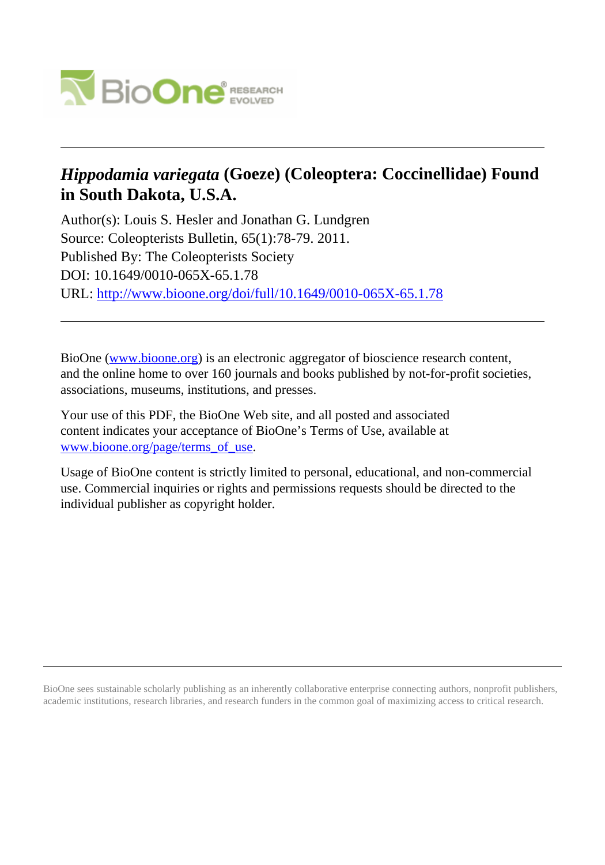

# *Hippodamia variegata* **(Goeze) (Coleoptera: Coccinellidae) Found in South Dakota, U.S.A.**

Author(s): Louis S. Hesler and Jonathan G. Lundgren Source: Coleopterists Bulletin, 65(1):78-79. 2011. Published By: The Coleopterists Society DOI: 10.1649/0010-065X-65.1.78 URL: <http://www.bioone.org/doi/full/10.1649/0010-065X-65.1.78>

BioOne [\(www.bioone.org\)](http://www.bioone.org) is an electronic aggregator of bioscience research content, and the online home to over 160 journals and books published by not-for-profit societies, associations, museums, institutions, and presses.

Your use of this PDF, the BioOne Web site, and all posted and associated content indicates your acceptance of BioOne's Terms of Use, available at [www.bioone.org/page/terms\\_of\\_use](http://www.bioone.org/page/terms_of_use).

Usage of BioOne content is strictly limited to personal, educational, and non-commercial use. Commercial inquiries or rights and permissions requests should be directed to the individual publisher as copyright holder.

BioOne sees sustainable scholarly publishing as an inherently collaborative enterprise connecting authors, nonprofit publishers, academic institutions, research libraries, and research funders in the common goal of maximizing access to critical research.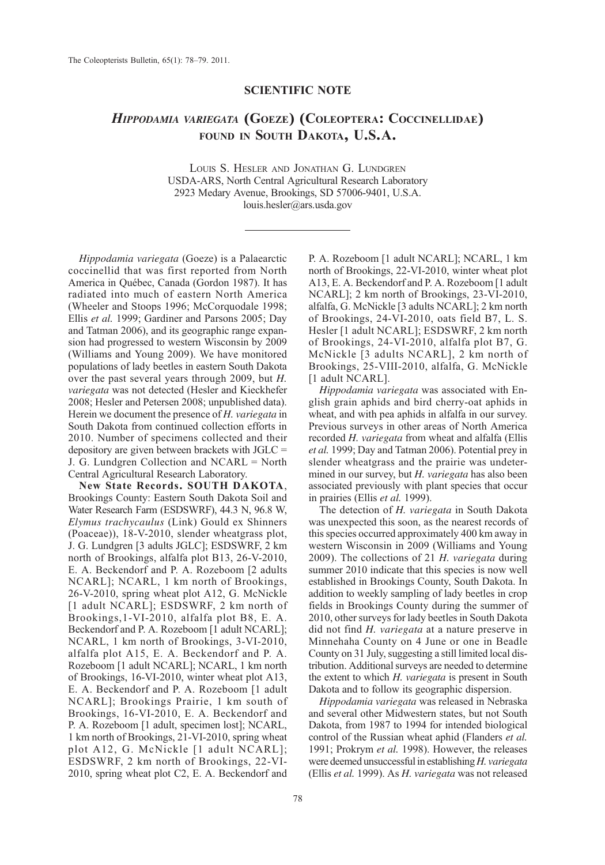### SCIENTIFIC NOTE

## HIPPODAMIA VARIEGATA (GOEZE) (COLEOPTERA: COCCINELLIDAE) FOUND IN SOUTH DAKOTA, U.S.A.

LOUIS S. HESLER AND JONATHAN G. LUNDGREN USDA-ARS, North Central Agricultural Research Laboratory 2923 Medary Avenue, Brookings, SD 57006-9401, U.S.A. louis.hesler@ars.usda.gov

Hippodamia variegata (Goeze) is a Palaearctic coccinellid that was first reported from North America in Québec, Canada (Gordon 1987). It has radiated into much of eastern North America (Wheeler and Stoops 1996; McCorquodale 1998; Ellis et al. 1999; Gardiner and Parsons 2005; Day and Tatman 2006), and its geographic range expansion had progressed to western Wisconsin by 2009 (Williams and Young 2009). We have monitored populations of lady beetles in eastern South Dakota over the past several years through 2009, but H. variegata was not detected (Hesler and Kieckhefer 2008; Hesler and Petersen 2008; unpublished data). Herein we document the presence of H. variegata in South Dakota from continued collection efforts in 2010. Number of specimens collected and their depository are given between brackets with JGLC = J. G. Lundgren Collection and NCARL = North Central Agricultural Research Laboratory.

New State Records. SOUTH DAKOTA, Brookings County: Eastern South Dakota Soil and Water Research Farm (ESDSWRF), 44.3 N, 96.8 W, Elymus trachycaulus (Link) Gould ex Shinners (Poaceae)), 18-V-2010, slender wheatgrass plot, J. G. Lundgren [3 adults JGLC]; ESDSWRF, 2 km north of Brookings, alfalfa plot B13, 26-V-2010, E. A. Beckendorf and P. A. Rozeboom [2 adults NCARL]; NCARL, 1 km north of Brookings, 26-V-2010, spring wheat plot A12, G. McNickle [1 adult NCARL]; ESDSWRF, 2 km north of Brookings,1-VI-2010, alfalfa plot B8, E. A. Beckendorf and P. A. Rozeboom [1 adult NCARL]; NCARL, 1 km north of Brookings, 3-VI-2010, alfalfa plot A15, E. A. Beckendorf and P. A. Rozeboom [1 adult NCARL]; NCARL, 1 km north of Brookings, 16-VI-2010, winter wheat plot A13, E. A. Beckendorf and P. A. Rozeboom [1 adult NCARL]; Brookings Prairie, 1 km south of Brookings, 16-VI-2010, E. A. Beckendorf and P. A. Rozeboom [1 adult, specimen lost]; NCARL, 1 km north of Brookings, 21-VI-2010, spring wheat plot A12, G. McNickle [1 adult NCARL]; ESDSWRF, 2 km north of Brookings, 22-VI-2010, spring wheat plot C2, E. A. Beckendorf and

P. A. Rozeboom [1 adult NCARL]; NCARL, 1 km north of Brookings, 22-VI-2010, winter wheat plot A13, E. A. Beckendorf and P. A. Rozeboom [1 adult NCARL]; 2 km north of Brookings, 23-VI-2010, alfalfa, G. McNickle [3 adults NCARL]; 2 km north of Brookings, 24-VI-2010, oats field B7, L. S. Hesler [1 adult NCARL]; ESDSWRF, 2 km north of Brookings, 24-VI-2010, alfalfa plot B7, G. McNickle [3 adults NCARL], 2 km north of Brookings, 25-VIII-2010, alfalfa, G. McNickle [1 adult NCARL].

Hippodamia variegata was associated with English grain aphids and bird cherry-oat aphids in wheat, and with pea aphids in alfalfa in our survey. Previous surveys in other areas of North America recorded H. variegata from wheat and alfalfa (Ellis et al. 1999; Day and Tatman 2006). Potential prey in slender wheatgrass and the prairie was undetermined in our survey, but H. variegata has also been associated previously with plant species that occur in prairies (Ellis et al. 1999).

The detection of H. variegata in South Dakota was unexpected this soon, as the nearest records of this species occurred approximately 400 km away in western Wisconsin in 2009 (Williams and Young 2009). The collections of 21  $H$ . variegata during summer 2010 indicate that this species is now well established in Brookings County, South Dakota. In addition to weekly sampling of lady beetles in crop fields in Brookings County during the summer of 2010, other surveys for lady beetles in South Dakota did not find H. variegata at a nature preserve in Minnehaha County on 4 June or one in Beadle County on 31 July, suggesting a still limited local distribution. Additional surveys are needed to determine the extent to which H. variegata is present in South Dakota and to follow its geographic dispersion.

Hippodamia variegata was released in Nebraska and several other Midwestern states, but not South Dakota, from 1987 to 1994 for intended biological control of the Russian wheat aphid (Flanders et al. 1991; Prokrym et al. 1998). However, the releases were deemed unsuccessful in establishing H. variegata (Ellis et al. 1999). As H. variegata was not released